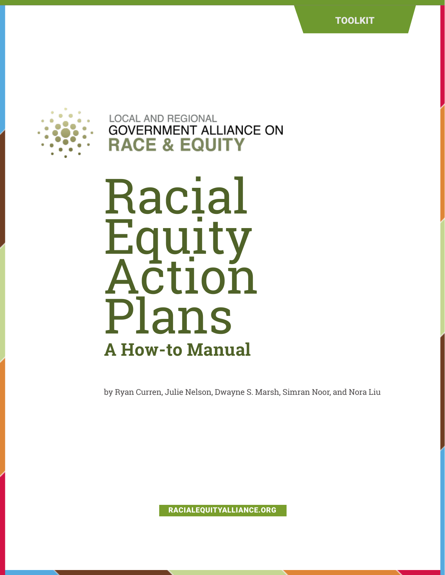

**LOCAL AND REGIONAL GOVERNMENT ALLIANCE ON RACE & EQUIT** 

**Racial<br>Equity** auity Action Plans **A How-to Manual**

by Ryan Curren, Julie Nelson, Dwayne S. Marsh, Simran Noor, and Nora Liu

RACIALEQUITYALLIANCE.ORG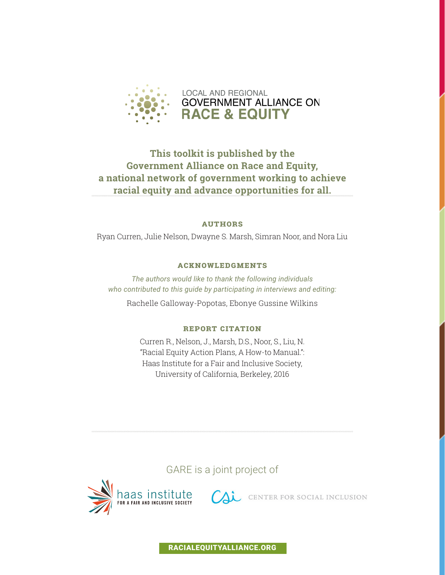

### **This toolkit is published by the Government Alliance on Race and Equity, a national network of government working to achieve racial equity and advance opportunities for all.**

#### **Authors**

Ryan Curren, Julie Nelson, Dwayne S. Marsh, Simran Noor, and Nora Liu

#### **Acknowledgments**

*The authors would like to thank the following individuals who contributed to this guide by participating in interviews and editing:*

Rachelle Galloway-Popotas, Ebonye Gussine Wilkins

#### **Report Citation**

Curren R., Nelson, J., Marsh, D.S., Noor, S., Liu, N. "Racial Equity Action Plans, A How-to Manual.": Haas Institute for a Fair and Inclusive Society, University of California, Berkeley, 2016

### GARE is a joint project of



RACIALEQUITYALLIANCE.ORG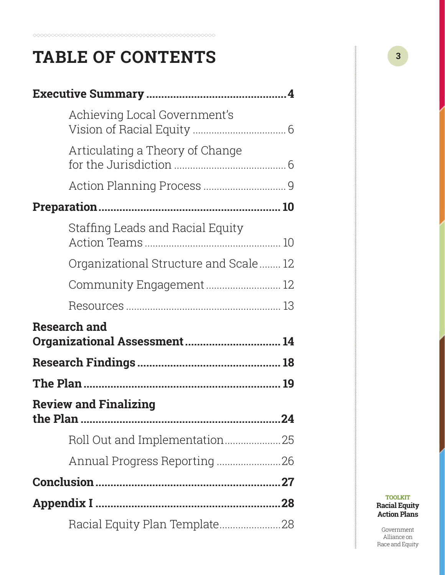# **TABLE OF CONTENTS**

| Achieving Local Government's         |  |
|--------------------------------------|--|
| Articulating a Theory of Change      |  |
|                                      |  |
|                                      |  |
| Staffing Leads and Racial Equity     |  |
| Organizational Structure and Scale12 |  |
| Community Engagement 12              |  |
|                                      |  |
| <b>Research and</b>                  |  |
| Organizational Assessment 14         |  |
|                                      |  |
|                                      |  |
| <b>Review and Finalizing</b>         |  |
|                                      |  |
|                                      |  |
|                                      |  |
|                                      |  |
| Racial Equity Plan Template28        |  |

**TOOLKIT Racial Equity Action Plans**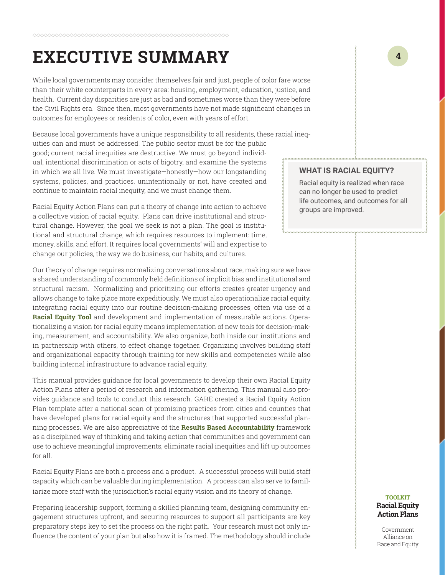# <span id="page-3-0"></span>**EXECUTIVE SUMMARY**

While local governments may consider themselves fair and just, people of color fare worse than their white counterparts in every area: housing, employment, education, justice, and health. Current day disparities are just as bad and sometimes worse than they were before the Civil Rights era. Since then, most governments have not made significant changes in outcomes for employees or residents of color, even with years of effort.

Because local governments have a unique responsibility to all residents, these racial ineq-

uities can and must be addressed. The public sector must be for the public good; current racial inequities are destructive. We must go beyond individual, intentional discrimination or acts of bigotry, and examine the systems in which we all live. We must investigate—honestly—how our longstanding systems, policies, and practices, unintentionally or not, have created and continue to maintain racial inequity, and we must change them.

Racial Equity Action Plans can put a theory of change into action to achieve a collective vision of racial equity. Plans can drive institutional and structural change. However, the goal we seek is not a plan. The goal is institutional and structural change, which requires resources to implement: time, money, skills, and effort. It requires local governments' will and expertise to change our policies, the way we do business, our habits, and cultures.

Our theory of change requires normalizing conversations about race, making sure we have a shared understanding of commonly held definitions of implicit bias and institutional and structural racism. Normalizing and prioritizing our efforts creates greater urgency and allows change to take place more expeditiously. We must also operationalize racial equity, integrating racial equity into our routine decision-making processes, often via use of a **[Racial Equity Tool](http://racialequityalliance.org/newsite/wp-content/uploads/2015/10/GARE-Racial_Equity_Toolkit.pdf)** and development and implementation of measurable actions. Operationalizing a vision for racial equity means implementation of new tools for decision-making, measurement, and accountability. We also organize, both inside our institutions and in partnership with others, to effect change together. Organizing involves building staff and organizational capacity through training for new skills and competencies while also building internal infrastructure to advance racial equity.

This manual provides guidance for local governments to develop their own Racial Equity Action Plans after a period of research and information gathering. This manual also provides guidance and tools to conduct this research. GARE created a Racial Equity Action Plan template after a national scan of promising practices from cities and counties that have developed plans for racial equity and the structures that supported successful planning processes. We are also appreciative of the **[Results Based Accountability](https://clearimpact.com/results-based-accountability/)** framework as a disciplined way of thinking and taking action that communities and government can use to achieve meaningful improvements, eliminate racial inequities and lift up outcomes for all.

Racial Equity Plans are both a process and a product. A successful process will build staff capacity which can be valuable during implementation. A process can also serve to familiarize more staff with the jurisdiction's racial equity vision and its theory of change.

Preparing leadership support, forming a skilled planning team, designing community engagement structures upfront, and securing resources to support all participants are key preparatory steps key to set the process on the right path. Your research must not only influence the content of your plan but also how it is framed. The methodology should include

#### **WHAT IS RACIAL EQUITY?**

Racial equity is realized when race can no longer be used to predict life outcomes, and outcomes for all groups are improved.

#### **TOOLKIT Racial Equity Action Plans**

Government Alliance on Race and Equity

**4**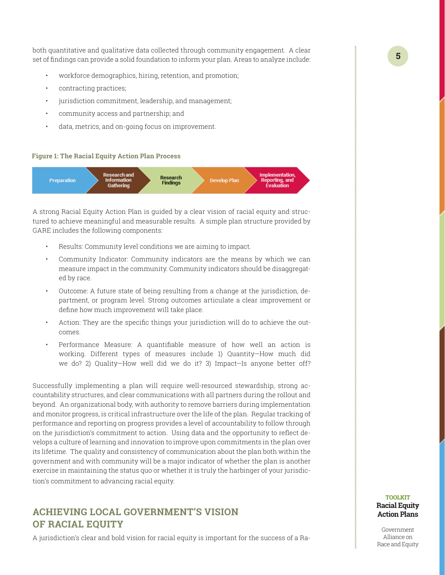both quantitative and qualitative data collected through community engagement. A clear set of findings can provide a solid foundation to inform your plan. Areas to analyze include:

- workforce demographics, hiring, retention, and promotion;
- contracting practices;
- jurisdiction commitment, leadership, and management;
- community access and partnership; and
- data, metrics, and on-going focus on improvement.

#### **Figure 1: The Racial Equity Action Plan Process**



A strong Racial Equity Action Plan is guided by a clear vision of racial equity and structured to achieve meaningful and measurable results. A simple plan structure provided by GARE includes the following components:

- Results: Community level conditions we are aiming to impact.
- Community Indicator: Community indicators are the means by which we can measure impact in the community. Community indicators should be disaggregated by race.
- Outcome: A future state of being resulting from a change at the jurisdiction, department, or program level. Strong outcomes articulate a clear improvement or define how much improvement will take place.
- Action: They are the specific things your jurisdiction will do to achieve the outcomes.
- Performance Measure: A quantifiable measure of how well an action is working. Different types of measures include 1) Quantity—How much did we do? 2) Quality—How well did we do it? 3) Impact—Is anyone better off?

Successfully implementing a plan will require well-resourced stewardship, strong accountability structures, and clear communications with all partners during the rollout and beyond. An organizational body, with authority to remove barriers during implementation and monitor progress, is critical infrastructure over the life of the plan. Regular tracking of performance and reporting on progress provides a level of accountability to follow through on the jurisdiction's commitment to action. Using data and the opportunity to reflect develops a culture of learning and innovation to improve upon commitments in the plan over its lifetime. The quality and consistency of communication about the plan both within the government and with community will be a major indicator of whether the plan is another exercise in maintaining the status quo or whether it is truly the harbinger of your jurisdiction's commitment to advancing racial equity.

### **ACHIEVING LOCAL GOVERNMENT'S VISION OF RACIAL EQUITY**

A jurisdiction's clear and bold vision for racial equity is important for the success of a Ra-

#### **TOOLKIT Racial Equity Action Plans**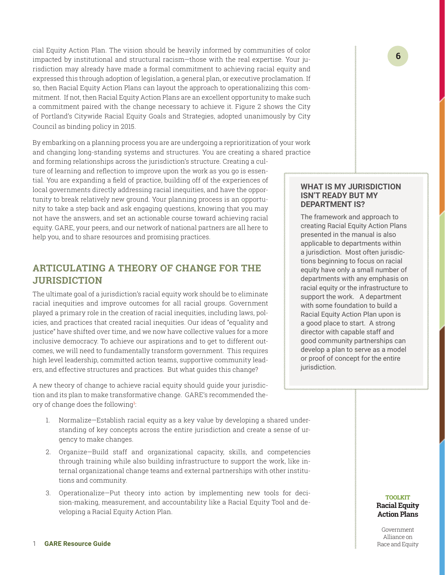<span id="page-5-0"></span>cial Equity Action Plan. The vision should be heavily informed by communities of color impacted by institutional and structural racism—those with the real expertise. Your jurisdiction may already have made a formal commitment to achieving racial equity and expressed this through adoption of legislation, a general plan, or executive proclamation. If so, then Racial Equity Action Plans can layout the approach to operationalizing this commitment. If not, then Racial Equity Action Plans are an excellent opportunity to make such a commitment paired with the change necessary to achieve it. Figure 2 shows the City of Portland's Citywide Racial Equity Goals and Strategies, adopted unanimously by City Council as binding policy in 2015.

By embarking on a planning process you are are undergoing a reprioritization of your work and changing long-standing systems and structures. You are creating a shared practice and forming relationships across the jurisdiction's structure. Creating a culture of learning and reflection to improve upon the work as you go is essential. You are expanding a field of practice, building off of the experiences of local governments directly addressing racial inequities, and have the opportunity to break relatively new ground. Your planning process is an opportunity to take a step back and ask engaging questions, knowing that you may not have the answers, and set an actionable course toward achieving racial equity. GARE, your peers, and our network of national partners are all here to help you, and to share resources and promising practices.

### **ARTICULATING A THEORY OF CHANGE FOR THE JURISDICTION**

The ultimate goal of a jurisdiction's racial equity work should be to eliminate racial inequities and improve outcomes for all racial groups. Government played a primary role in the creation of racial inequities, including laws, policies, and practices that created racial inequities. Our ideas of "equality and justice" have shifted over time, and we now have collective values for a more inclusive democracy. To achieve our aspirations and to get to different outcomes, we will need to fundamentally transform government. This requires high level leadership, committed action teams, supportive community leaders, and effective structures and practices. But what guides this change?

A new theory of change to achieve racial equity should guide your jurisdiction and its plan to make transformative change. GARE's recommended theory of change does the following<sup>1</sup>: :

- 1. Normalize—Establish racial equity as a key value by developing a shared understanding of key concepts across the entire jurisdiction and create a sense of urgency to make changes.
- 2. Organize—Build staff and organizational capacity, skills, and competencies through training while also building infrastructure to support the work, like internal organizational change teams and external partnerships with other institutions and community.
- 3. Operationalize—Put theory into action by implementing new tools for decision-making, measurement, and accountability like a Racial Equity Tool and developing a Racial Equity Action Plan.

#### **WHAT IS MY JURISDICTION ISN'T READY BUT MY DEPARTMENT IS?**

The framework and approach to creating Racial Equity Action Plans presented in the manual is also applicable to departments within a jurisdiction. Most often jurisdictions beginning to focus on racial equity have only a small number of departments with any emphasis on racial equity or the infrastructure to support the work. A department with some foundation to build a Racial Equity Action Plan upon is a good place to start. A strong director with capable staff and good community partnerships can develop a plan to serve as a model or proof of concept for the entire jurisdiction.

#### **TOOLKIT Racial Equity Action Plans**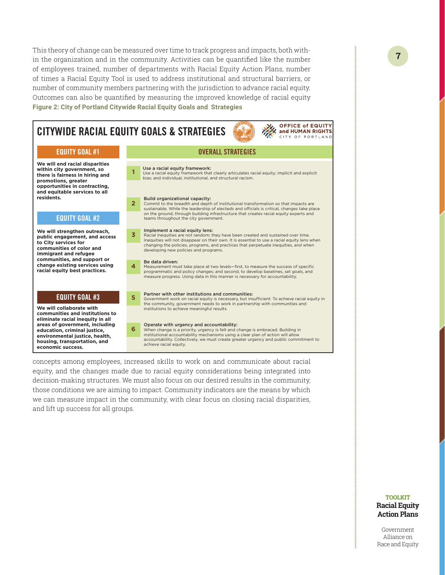This theory of change can be measured over time to track progress and impacts, both within the organization and in the community. Activities can be quantified like the number of employees trained, number of departments with Racial Equity Action Plans, number of times a Racial Equity Tool is used to address institutional and structural barriers, or number of community members partnering with the jurisdiction to advance racial equity. Outcomes can also be quantified by measuring the improved knowledge of racial equity **Figure 2: City of Portland Citywide Racial Equity Goals and Strategies**

OFFICE of EQUITY OFFICE of EQUITY CITYWIDE RACIAL EQUITY GOALS & STRATEGIES CITY OF PORTLAND EQUITY GOAL #1 OVERALL STRATEGIES **We will end racial disparities**  Use a racial equity framework: **within city government, so 1** Use a racial equity framework that clearly articulates racial equity; implicit and explicit **there is fairness in hiring and**  bias; and individual, institutional, and structural racism. **promotions, greater opportunities in contracting, and equitable services to all residents.** Build organizational capacity: **2** Commit to the breadth and depth of institutional transformation so that impacts are sustainable. While the leadership of electeds and officials is critical, changes take place on the ground, through building infrastructure that creates racial equity experts and EQUITY GOAL #2 teams throughout the city government. Implement a racial equity lens: **We will strengthen outreach, 3** Racial inequities are not random; they have been created and sustained over time. **public engagement, and access**  Inequities will not disappear on their own. It is essential to use a racial equity lens when **to City services for**  changing the policies, programs, and practices that perpetuate inequities, and when **communities of color and**  developing new policies and programs. **immigrant and refugee communities, and support or**  Be data driven: **change existing services using**  Measurement must take place at two levels—first, to measure the success of specific **4 racial equity best practices.** programmatic and policy changes; and second, to develop baselines, set goals, and measure progress. Using data in this manner is necessary for accountability. **5** Partner with other institutions and communities:<br>Government work on racial equity is necessary, but insufficient. To achieve racial equity in EQUITY GOAL #3 the community, government needs to work in partnership with communities and **We will collaborate with**  institutions to achieve meaningful results. **communities and institutions to eliminate racial inequity in all areas of government, including 6** Operate with urgency and accountability:<br>**6** When change is a priority, urgency is felt and o When change is a priority, urgency is felt and change is embraced. Building in **education, criminal justice,**  institutional accountability mechanisms using a clear plan of action will all **environmental justice, health,**  accountability. Collectively, we must create greater urgency and public commitment to **housing, transportation, and**  achieve racial equity. **economic success.**

concepts among employees, increased skills to work on and communicate about racial equity, and the changes made due to racial equity considerations being integrated into decision-making structures. We must also focus on our desired results in the community, those conditions we are aiming to impact. Community indicators are the means by which we can measure impact in the community, with clear focus on closing racial disparities, and lift up success for all groups.

#### **TOOLKIT Racial Equity Action Plans**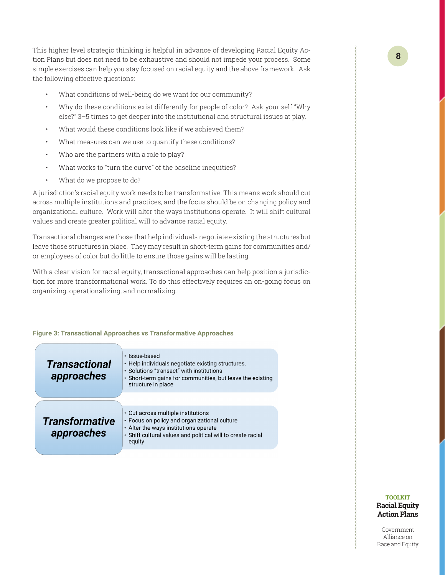This higher level strategic thinking is helpful in advance of developing Racial Equity Action Plans but does not need to be exhaustive and should not impede your process. Some simple exercises can help you stay focused on racial equity and the above framework. Ask the following effective questions:

- What conditions of well-being do we want for our community?
- Why do these conditions exist differently for people of color? Ask your self "Why else?" 3–5 times to get deeper into the institutional and structural issues at play.
- What would these conditions look like if we achieved them?
- What measures can we use to quantify these conditions?
- Who are the partners with a role to play?
- What works to "turn the curve" of the baseline inequities?
- What do we propose to do?

A jurisdiction's racial equity work needs to be transformative. This means work should cut across multiple institutions and practices, and the focus should be on changing policy and organizational culture. Work will alter the ways institutions operate. It will shift cultural values and create greater political will to advance racial equity.

Transactional changes are those that help individuals negotiate existing the structures but leave those structures in place. They may result in short-term gains for communities and/ or employees of color but do little to ensure those gains will be lasting.

With a clear vision for racial equity, transactional approaches can help position a jurisdiction for more transformational work. To do this effectively requires an on-going focus on organizing, operationalizing, and normalizing.

#### **Figure 3: Transactional Approaches vs Transformative Approaches**

| <b>Transactional</b><br>approaches  | · Issue-based<br>• Help individuals negotiate existing structures.<br>· Solutions "transact" with institutions<br>• Short-term gains for communities, but leave the existing<br>structure in place   |
|-------------------------------------|------------------------------------------------------------------------------------------------------------------------------------------------------------------------------------------------------|
| <b>Transformative</b><br>approaches | • Cut across multiple institutions<br>• Focus on policy and organizational culture<br>• Alter the ways institutions operate<br>· Shift cultural values and political will to create racial<br>equity |

#### **TOOLKIT Racial Equity Action Plans**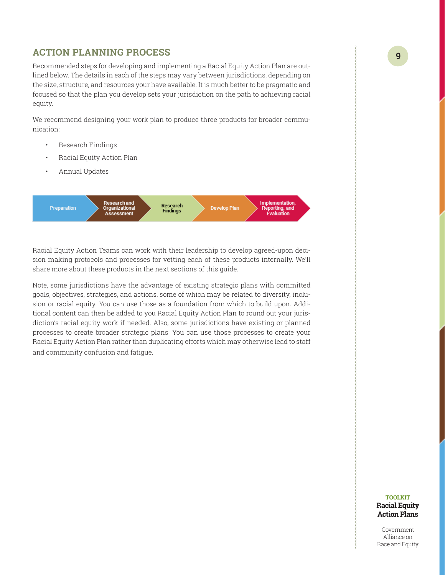### <span id="page-8-0"></span>**ACTION PLANNING PROCESS**

Recommended steps for developing and implementing a Racial Equity Action Plan are outlined below. The details in each of the steps may vary between jurisdictions, depending on the size, structure, and resources your have available. It is much better to be pragmatic and focused so that the plan you develop sets your jurisdiction on the path to achieving racial equity.

We recommend designing your work plan to produce three products for broader communication:

- Research Findings
- Racial Equity Action Plan
- Annual Updates



Racial Equity Action Teams can work with their leadership to develop agreed-upon decision making protocols and processes for vetting each of these products internally. We'll share more about these products in the next sections of this guide.

Note, some jurisdictions have the advantage of existing strategic plans with committed goals, objectives, strategies, and actions, some of which may be related to diversity, inclusion or racial equity. You can use those as a foundation from which to build upon. Additional content can then be added to you Racial Equity Action Plan to round out your jurisdiction's racial equity work if needed. Also, some jurisdictions have existing or planned processes to create broader strategic plans. You can use those processes to create your Racial Equity Action Plan rather than duplicating efforts which may otherwise lead to staff and community confusion and fatigue.

#### **TOOLKIT Racial Equity Action Plans**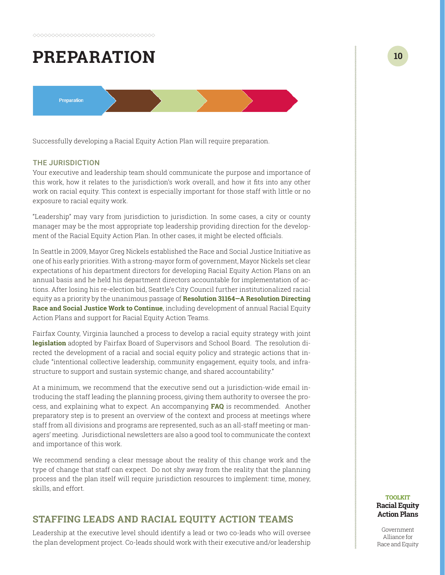# <span id="page-9-0"></span>**PREPARATION**



Successfully developing a Racial Equity Action Plan will require preparation.

#### THE JURISDICTION

Your executive and leadership team should communicate the purpose and importance of this work, how it relates to the jurisdiction's work overall, and how it fits into any other work on racial equity. This context is especially important for those staff with little or no exposure to racial equity work.

"Leadership" may vary from jurisdiction to jurisdiction. In some cases, a city or county manager may be the most appropriate top leadership providing direction for the development of the Racial Equity Action Plan. In other cases, it might be elected officials.

In Seattle in 2009, Mayor Greg Nickels established the Race and Social Justice Initiative as one of his early priorities. With a strong-mayor form of government, Mayor Nickels set clear expectations of his department directors for developing Racial Equity Action Plans on an annual basis and he held his department directors accountable for implementation of actions. After losing his re-election bid, Seattle's City Council further institutionalized racial equity as a priority by the unanimous passage of **[Resolution 31164—A Resolution Directing](http://clerk.seattle.gov/~scripts/nph-brs.exe?s1=&s3=31164&s2=&s4=&Sect4=AND&l=20&Sect2=THESON&Sect3=PLURON&Sect5=RESNY&Sect6=HITOFF&d=RESF&p=1&u=%2F%7Epublic%2Fresny.htm&r=1&f=G)  [Race and Social Justice Work to Continue](http://clerk.seattle.gov/~scripts/nph-brs.exe?s1=&s3=31164&s2=&s4=&Sect4=AND&l=20&Sect2=THESON&Sect3=PLURON&Sect5=RESNY&Sect6=HITOFF&d=RESF&p=1&u=%2F%7Epublic%2Fresny.htm&r=1&f=G)**, including development of annual Racial Equity Action Plans and support for Racial Equity Action Teams.

Fairfax County, Virginia launched a process to develop a racial equity strategy with joint **[legislation](http://www.fairfaxcounty.gov/news/2016/one-fairfax-resolution.pdf)** adopted by Fairfax Board of Supervisors and School Board. The resolution directed the development of a racial and social equity policy and strategic actions that include "intentional collective leadership, community engagement, equity tools, and infrastructure to support and sustain systemic change, and shared accountability."

At a minimum, we recommend that the executive send out a jurisdiction-wide email introducing the staff leading the planning process, giving them authority to oversee the process, and explaining what to expect. An accompanying **[FAQ](http://www.portlandoregon.gov/oehr/71600)** is recommended. Another preparatory step is to present an overview of the context and process at meetings where staff from all divisions and programs are represented, such as an all-staff meeting or managers' meeting. Jurisdictional newsletters are also a good tool to communicate the context and importance of this work.

We recommend sending a clear message about the reality of this change work and the type of change that staff can expect. Do not shy away from the reality that the planning process and the plan itself will require jurisdiction resources to implement: time, money, skills, and effort.

### **STAFFING LEADS AND RACIAL EQUITY ACTION TEAMS**

Leadership at the executive level should identify a lead or two co-leads who will oversee the plan development project. Co-leads should work with their executive and/or leadership

#### **TOOLKIT Racial Equity Action Plans**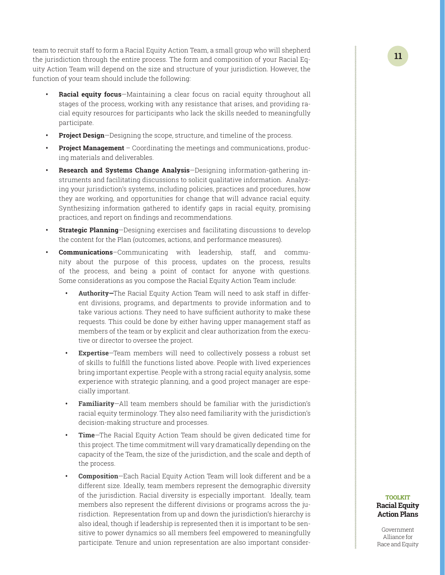team to recruit staff to form a Racial Equity Action Team, a small group who will shepherd the jurisdiction through the entire process. The form and composition of your Racial Equity Action Team will depend on the size and structure of your jurisdiction. However, the function of your team should include the following:

- **• Racial equity focus**—Maintaining a clear focus on racial equity throughout all stages of the process, working with any resistance that arises, and providing racial equity resources for participants who lack the skills needed to meaningfully participate.
- **• Project Design**—Designing the scope, structure, and timeline of the process.
- **• Project Management** Coordinating the meetings and communications, producing materials and deliverables.
- **• Research and Systems Change Analysis**—Designing information-gathering instruments and facilitating discussions to solicit qualitative information. Analyzing your jurisdiction's systems, including policies, practices and procedures, how they are working, and opportunities for change that will advance racial equity. Synthesizing information gathered to identify gaps in racial equity, promising practices, and report on findings and recommendations.
- **• Strategic Planning**—Designing exercises and facilitating discussions to develop the content for the Plan (outcomes, actions, and performance measures).
- **• Communications**–Communicating with leadership, staff, and community about the purpose of this process, updates on the process, results of the process, and being a point of contact for anyone with questions. Some considerations as you compose the Racial Equity Action Team include:
	- **• Authority—**The Racial Equity Action Team will need to ask staff in different divisions, programs, and departments to provide information and to take various actions. They need to have sufficient authority to make these requests. This could be done by either having upper management staff as members of the team or by explicit and clear authorization from the executive or director to oversee the project.
	- **• Expertise**—Team members will need to collectively possess a robust set of skills to fulfill the functions listed above. People with lived experiences bring important expertise. People with a strong racial equity analysis, some experience with strategic planning, and a good project manager are especially important.
	- **• Familiarity**—All team members should be familiar with the jurisdiction's racial equity terminology. They also need familiarity with the jurisdiction's decision-making structure and processes.
	- **• Time**—The Racial Equity Action Team should be given dedicated time for this project. The time commitment will vary dramatically depending on the capacity of the Team, the size of the jurisdiction, and the scale and depth of the process.
	- **• Composition**—Each Racial Equity Action Team will look different and be a different size. Ideally, team members represent the demographic diversity of the jurisdiction. Racial diversity is especially important. Ideally, team members also represent the different divisions or programs across the jurisdiction. Representation from up and down the jurisdiction's hierarchy is also ideal, though if leadership is represented then it is important to be sensitive to power dynamics so all members feel empowered to meaningfully participate. Tenure and union representation are also important consider-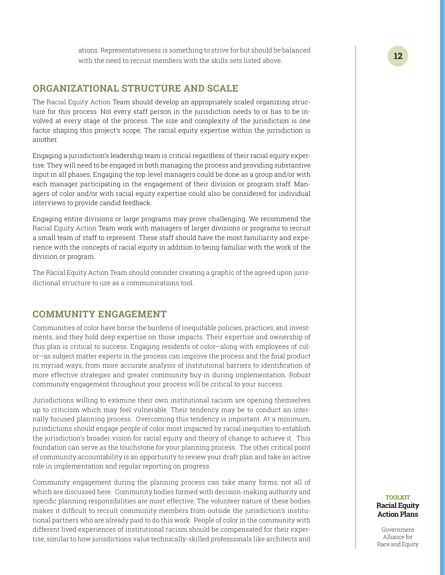ations. Representativeness is something to strive for but should be balanced with the need to recruit members with the skills sets listed above.

### <span id="page-11-0"></span>**ORGANIZATIONAL STRUCTURE AND SCALE**

The Racial Equity Action Team should develop an appropriately scaled organizing structure for this process. Not every staff person in the jurisdiction needs to or has to be involved at every stage of the process. The size and complexity of the jurisdiction is one factor shaping this project's scope. The racial equity expertise within the jurisdiction is another.

Engaging a jurisdiction's leadership team is critical regardless of their racial equity expertise. They will need to be engaged in both managing the process and providing substantive input in all phases. Engaging the top-level managers could be done as a group and/or with each manager participating in the engagement of their division or program staff. Managers of color and/or with racial equity expertise could also be considered for individual interviews to provide candid feedback.

Engaging entire divisions or large programs may prove challenging. We recommend the Racial Equity Action Team work with managers of larger divisions or programs to recruit a small team of staff to represent. These staff should have the most familiarity and experience with the concepts of racial equity in addition to being familiar with the work of the division or program.

The Racial Equity Action Team should consider creating a graphic of the agreed upon jurisdictional structure to use as a communications tool.

### **COMMUNITY ENGAGEMENT**

Communities of color have borne the burdens of inequitable policies, practices, and investments, and they hold deep expertise on those impacts. Their expertise and ownership of this plan is critical to success. Engaging residents of color—along with employees of color—as subject matter experts in the process can improve the process and the final product in myriad ways; from more accurate analysis of institutional barriers to identification of more effective strategies and greater community buy-in during implementation. Robust community engagement throughout your process will be critical to your success.

Jurisdictions willing to examine their own institutional racism are opening themselves up to criticism which may feel vulnerable. Their tendency may be to conduct an internally focused planning process. Overcoming this tendency is important. At a minimum, jurisdictions should engage people of color most impacted by racial inequities to establish the jurisdiction's broader vision for racial equity and theory of change to achieve it. This foundation can serve as the touchstone for your planning process. The other critical point of community accountability is an opportunity to review your draft plan and take an active role in implementation and regular reporting on progress.

Community engagement during the planning process can take many forms, not all of which are discussed here. Community bodies formed with decision-making authority and specific planning responsibilities are most effective. The volunteer nature of these bodies makes it difficult to recruit community members from outside the jurisdiction's institutional partners who are already paid to do this work. People of color in the community with different lived experiences of institutional racism should be compensated for their expertise, similar to how jurisdictions value technically-skilled professionals like architects and

#### **TOOLKIT Racial Equity Action Plans**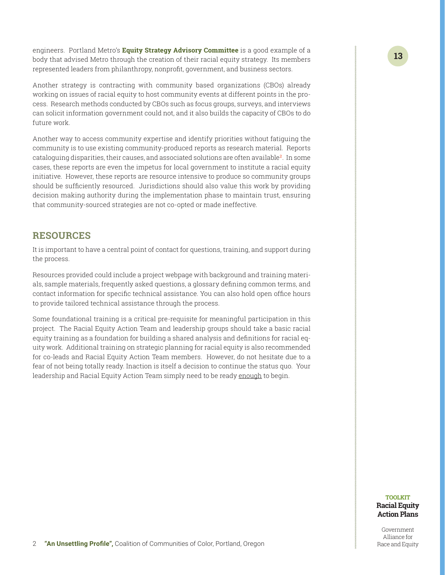<span id="page-12-0"></span>engineers. Portland Metro's **[Equity Strategy Advisory Committee](http://www.oregonmetro.gov/public-projects/equity-strategy/advisory-committee)** is a good example of a body that advised Metro through the creation of their racial equity strategy. Its members represented leaders from philanthropy, nonprofit, government, and business sectors.

Another strategy is contracting with community based organizations (CBOs) already working on issues of racial equity to host community events at different points in the process. Research methods conducted by CBOs such as focus groups, surveys, and interviews can solicit information government could not, and it also builds the capacity of CBOs to do future work.

Another way to access community expertise and identify priorities without fatiguing the community is to use existing community-produced reports as research material. Reports cataloguing disparities, their causes, and associated solutions are often available2. In some cases, these reports are even the impetus for local government to institute a racial equity initiative. However, these reports are resource intensive to produce so community groups should be sufficiently resourced. Jurisdictions should also value this work by providing decision making authority during the implementation phase to maintain trust, ensuring that community-sourced strategies are not co-opted or made ineffective.

### **RESOURCES**

It is important to have a central point of contact for questions, training, and support during the process.

Resources provided could include a project webpage with background and training materials, sample materials, frequently asked questions, a glossary defining common terms, and contact information for specific technical assistance. You can also hold open office hours to provide tailored technical assistance through the process.

Some foundational training is a critical pre-requisite for meaningful participation in this project. The Racial Equity Action Team and leadership groups should take a basic racial equity training as a foundation for building a shared analysis and definitions for racial equity work. Additional training on strategic planning for racial equity is also recommended for co-leads and Racial Equity Action Team members. However, do not hesitate due to a fear of not being totally ready. Inaction is itself a decision to continue the status quo. Your leadership and Racial Equity Action Team simply need to be ready enough to begin.

**TOOLKIT Racial Equity Action Plans**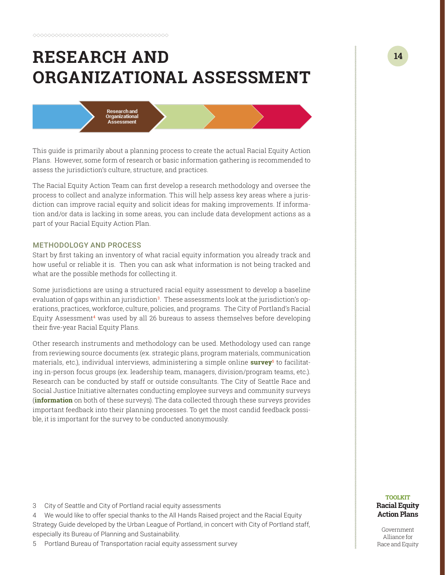# <span id="page-13-0"></span>**RESEARCH AND ORGANIZATIONAL ASSESSMENT**



This guide is primarily about a planning process to create the actual Racial Equity Action Plans. However, some form of research or basic information gathering is recommended to assess the jurisdiction's culture, structure, and practices.

The Racial Equity Action Team can first develop a research methodology and oversee the process to collect and analyze information. This will help assess key areas where a jurisdiction can improve racial equity and solicit ideas for making improvements. If information and/or data is lacking in some areas, you can include data development actions as a part of your Racial Equity Action Plan.

#### METHODOLOGY AND PROCESS

Start by first taking an inventory of what racial equity information you already track and how useful or reliable it is. Then you can ask what information is not being tracked and what are the possible methods for collecting it.

Some jurisdictions are using a structured racial equity assessment to develop a baseline evaluation of gaps within an jurisdiction<sup>3</sup>. These assessments look at the jurisdiction's operations, practices, workforce, culture, policies, and programs. The City of Portland's Racial Equity Assessment<sup>4</sup> was used by all 26 bureaus to assess themselves before developing their five-year Racial Equity Plans.

Other research instruments and methodology can be used. Methodology used can range from reviewing source documents (ex. strategic plans, program materials, communication materials, etc.), individual interviews, administering a simple online **[survey](https://www.surveymonkey.com/r/PBOTRoadmapSample)**<sup>5</sup> to facilitating in-person focus groups (ex. leadership team, managers, division/program teams, etc.). Research can be conducted by staff or outside consultants. The City of Seattle Race and Social Justice Initiative alternates conducting employee surveys and community surveys (**[information](http://www.seattle.gov/rsji/resources)** on both of these surveys). The data collected through these surveys provides important feedback into their planning processes. To get the most candid feedback possible, it is important for the survey to be conducted anonymously.

3 City of Seattle and City of Portland racial equity assessments

4 We would like to offer special thanks to the All Hands Raised project and the Racial Equity Strategy Guide developed by the Urban League of Portland, in concert with City of Portland staff, especially its Bureau of Planning and Sustainability.

5 Portland Bureau of Transportation racial equity assessment survey

#### **TOOLKIT Racial Equity Action Plans**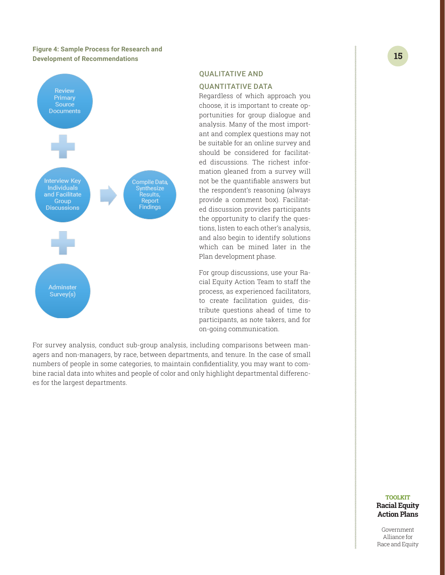#### **Figure 4: Sample Process for Research and Development of Recommendations**



#### QUALITATIVE AND

#### QUANTITATIVE DATA

Regardless of which approach you choose, it is important to create opportunities for group dialogue and analysis. Many of the most important and complex questions may not be suitable for an online survey and should be considered for facilitated discussions. The richest information gleaned from a survey will not be the quantifiable answers but the respondent's reasoning (always provide a comment box). Facilitated discussion provides participants the opportunity to clarify the questions, listen to each other's analysis, and also begin to identify solutions which can be mined later in the Plan development phase.

For group discussions, use your Racial Equity Action Team to staff the process, as experienced facilitators, to create facilitation guides, distribute questions ahead of time to participants, as note takers, and for on-going communication.

For survey analysis, conduct sub-group analysis, including comparisons between managers and non-managers, by race, between departments, and tenure. In the case of small numbers of people in some categories, to maintain confidentiality, you may want to combine racial data into whites and people of color and only highlight departmental differences for the largest departments.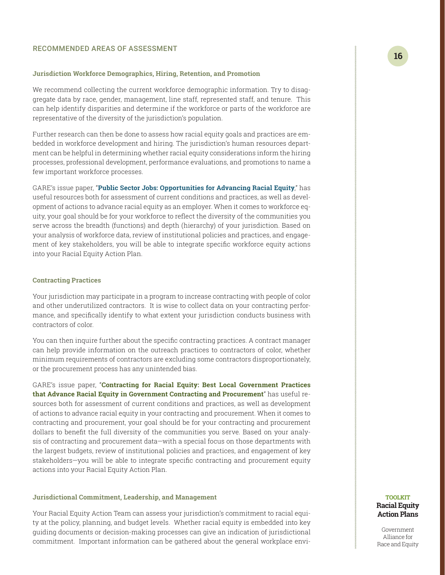#### RECOMMENDED AREAS OF ASSESSMENT

#### **Jurisdiction Workforce Demographics, Hiring, Retention, and Promotion**

We recommend collecting the current workforce demographic information. Try to disaggregate data by race, gender, management, line staff, represented staff, and tenure. This can help identify disparities and determine if the workforce or parts of the workforce are representative of the diversity of the jurisdiction's population.

Further research can then be done to assess how racial equity goals and practices are embedded in workforce development and hiring. The jurisdiction's human resources department can be helpful in determining whether racial equity considerations inform the hiring processes, professional development, performance evaluations, and promotions to name a few important workforce processes.

GARE's issue paper, "**[Public Sector Jobs: Opportunities for Advancing Racial Equity](http://racialequityalliance.org/newsite/wp-content/uploads/2015/02/Public-Sector-Jobs-Final1.pdf)**," has useful resources both for assessment of current conditions and practices, as well as development of actions to advance racial equity as an employer. When it comes to workforce equity, your goal should be for your workforce to reflect the diversity of the communities you serve across the breadth (functions) and depth (hierarchy) of your jurisdiction. Based on your analysis of workforce data, review of institutional policies and practices, and engagement of key stakeholders, you will be able to integrate specific workforce equity actions into your Racial Equity Action Plan.

#### **Contracting Practices**

Your jurisdiction may participate in a program to increase contracting with people of color and other underutilized contractors. It is wise to collect data on your contracting performance, and specifically identify to what extent your jurisdiction conducts business with contractors of color.

You can then inquire further about the specific contracting practices. A contract manager can help provide information on the outreach practices to contractors of color, whether minimum requirements of contractors are excluding some contractors disproportionately, or the procurement process has any unintended bias.

GARE's issue paper, "**[Contracting for Racial Equity: Best Local Government Practices](http://racialequityalliance.org/newsite/wp-content/uploads/2015/12/GARE-Contract_For_Equity.pdf)  [that Advance Racial Equity in Government Contracting and Procurement](http://racialequityalliance.org/newsite/wp-content/uploads/2015/12/GARE-Contract_For_Equity.pdf)**" has useful resources both for assessment of current conditions and practices, as well as development of actions to advance racial equity in your contracting and procurement. When it comes to contracting and procurement, your goal should be for your contracting and procurement dollars to benefit the full diversity of the communities you serve. Based on your analysis of contracting and procurement data—with a special focus on those departments with the largest budgets, review of institutional policies and practices, and engagement of key stakeholders—you will be able to integrate specific contracting and procurement equity actions into your Racial Equity Action Plan.

#### **Jurisdictional Commitment, Leadership, and Management**

Your Racial Equity Action Team can assess your jurisdiction's commitment to racial equity at the policy, planning, and budget levels. Whether racial equity is embedded into key guiding documents or decision-making processes can give an indication of jurisdictional commitment. Important information can be gathered about the general workplace envi-

#### **TOOLKIT Racial Equity Action Plans**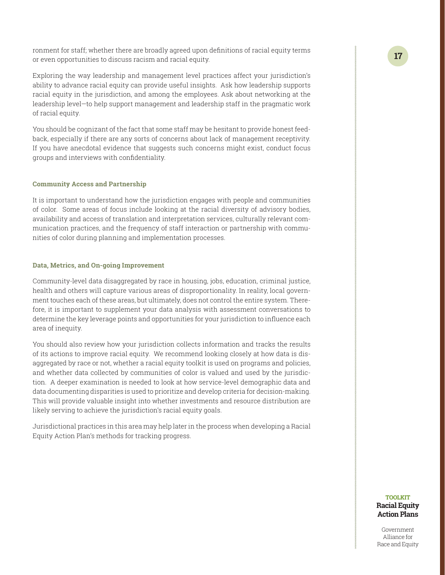ronment for staff; whether there are broadly agreed upon definitions of racial equity terms or even opportunities to discuss racism and racial equity.

Exploring the way leadership and management level practices affect your jurisdiction's ability to advance racial equity can provide useful insights. Ask how leadership supports racial equity in the jurisdiction, and among the employees. Ask about networking at the leadership level—to help support management and leadership staff in the pragmatic work of racial equity.

You should be cognizant of the fact that some staff may be hesitant to provide honest feedback, especially if there are any sorts of concerns about lack of management receptivity. If you have anecdotal evidence that suggests such concerns might exist, conduct focus groups and interviews with confidentiality.

#### **Community Access and Partnership**

It is important to understand how the jurisdiction engages with people and communities of color. Some areas of focus include looking at the racial diversity of advisory bodies, availability and access of translation and interpretation services, culturally relevant communication practices, and the frequency of staff interaction or partnership with communities of color during planning and implementation processes.

#### **Data, Metrics, and On-going Improvement**

Community-level data disaggregated by race in housing, jobs, education, criminal justice, health and others will capture various areas of disproportionality. In reality, local government touches each of these areas, but ultimately, does not control the entire system. Therefore, it is important to supplement your data analysis with assessment conversations to determine the key leverage points and opportunities for your jurisdiction to influence each area of inequity.

You should also review how your jurisdiction collects information and tracks the results of its actions to improve racial equity. We recommend looking closely at how data is disaggregated by race or not, whether a racial equity toolkit is used on programs and policies, and whether data collected by communities of color is valued and used by the jurisdiction. A deeper examination is needed to look at how service-level demographic data and data documenting disparities is used to prioritize and develop criteria for decision-making. This will provide valuable insight into whether investments and resource distribution are likely serving to achieve the jurisdiction's racial equity goals.

Jurisdictional practices in this area may help later in the process when developing a Racial Equity Action Plan's methods for tracking progress.

**17**

#### **TOOLKIT Racial Equity Action Plans**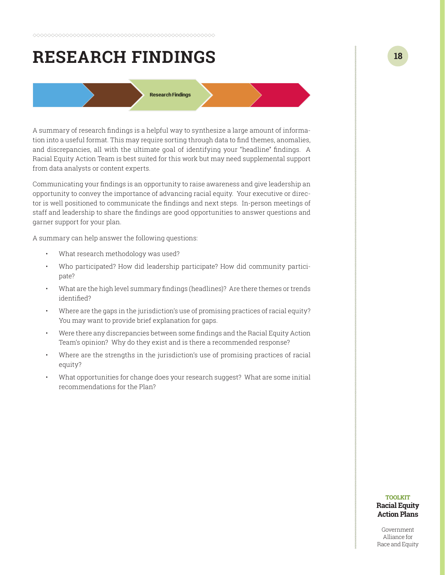## <span id="page-17-0"></span>**RESEARCH FINDINGS**

**Research Findings** 

A summary of research findings is a helpful way to synthesize a large amount of information into a useful format. This may require sorting through data to find themes, anomalies, and discrepancies, all with the ultimate goal of identifying your "headline" findings. A Racial Equity Action Team is best suited for this work but may need supplemental support from data analysts or content experts.

Communicating your findings is an opportunity to raise awareness and give leadership an opportunity to convey the importance of advancing racial equity. Your executive or director is well positioned to communicate the findings and next steps. In-person meetings of staff and leadership to share the findings are good opportunities to answer questions and garner support for your plan.

A summary can help answer the following questions:

- What research methodology was used?
- Who participated? How did leadership participate? How did community participate?
- What are the high level summary findings (headlines)? Are there themes or trends identified?
- Where are the gaps in the jurisdiction's use of promising practices of racial equity? You may want to provide brief explanation for gaps.
- Were there any discrepancies between some findings and the Racial Equity Action Team's opinion? Why do they exist and is there a recommended response?
- Where are the strengths in the jurisdiction's use of promising practices of racial equity?
- What opportunities for change does your research suggest? What are some initial recommendations for the Plan?

#### **TOOLKIT Racial Equity Action Plans**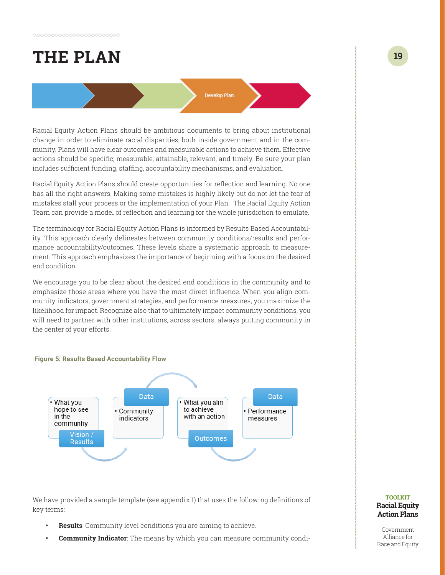# <span id="page-18-0"></span>**THE PLAN**

Racial Equity Action Plans should be ambitious documents to bring about institutional change in order to eliminate racial disparities, both inside government and in the community. Plans will have clear outcomes and measurable actions to achieve them. Effective actions should be specific, measurable, attainable, relevant, and timely. Be sure your plan includes sufficient funding, staffing, accountability mechanisms, and evaluation.

**Develop Plan** 

Racial Equity Action Plans should create opportunities for reflection and learning. No one has all the right answers. Making some mistakes is highly likely but do not let the fear of mistakes stall your process or the implementation of your Plan. The Racial Equity Action Team can provide a model of reflection and learning for the whole jurisdiction to emulate.

The terminology for Racial Equity Action Plans is informed by Results Based Accountability. This approach clearly delineates between community conditions/results and performance accountability/outcomes. These levels share a systematic approach to measurement. This approach emphasizes the importance of beginning with a focus on the desired end condition.

We encourage you to be clear about the desired end conditions in the community and to emphasize those areas where you have the most direct influence. When you align community indicators, government strategies, and performance measures, you maximize the likelihood for impact. Recognize also that to ultimately impact community conditions, you will need to partner with other institutions, across sectors, always putting community in the center of your efforts.



We have provided a sample template (see appendix 1) that uses the following definitions of key terms:

- **• Results**: Community level conditions you are aiming to achieve.
- **• Community Indicator**: The means by which you can measure community condi-

#### **TOOLKIT Racial Equity Action Plans**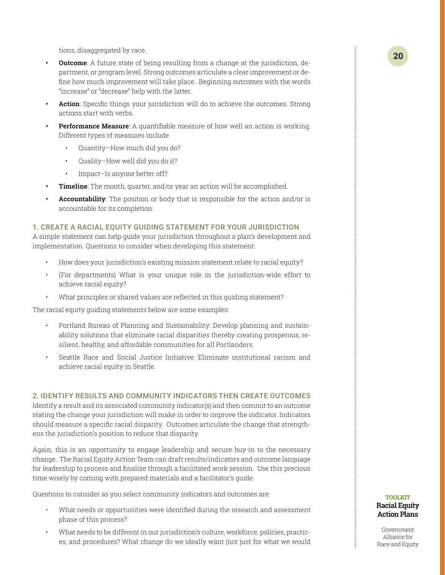tions, disaggregated by race.

- **Outcome**: A future state of being resulting from a change at the jurisdiction, department, or program level. Strong outcomes articulate a clear improvement or define how much improvement will take place. Beginning outcomes with the words "increase" or "decrease" help with the latter.
- **• Action**: Specific things your jurisdiction will do to achieve the outcomes. Strong actions start with verbs.
- **Performance Measure**: A quantifiable measure of how well an action is working. Different types of measures include
	- Quantity—How much did you do?
	- Quality—How well did you do it?
	- Impact—Is anyone better off?
- **• Timeline**: The month, quarter, and/or year an action will be accomplished.
- **• Accountability**: The position or body that is responsible for the action and/or is accountable for its completion.

#### 1. CREATE A RACIAL EQUITY GUIDING STATEMENT FOR YOUR JURISDICTION

A simple statement can help guide your jurisdiction throughout a plan's development and implementation. Questions to consider when developing this statement:

- How does your jurisdiction's existing mission statement relate to racial equity?
- (For departments) What is your unique role in the jurisdiction-wide effort to achieve racial equity?
- What principles or shared values are reflected in this guiding statement?

The racial equity guiding statements below are some examples:

- Portland Bureau of Planning and Sustainability: Develop planning and sustainability solutions that eliminate racial disparities thereby creating prosperous, resilient, healthy, and affordable communities for all Portlanders.
- Seattle Race and Social Justice Initiative: Eliminate institutional racism and achieve racial equity in Seattle.

#### 2. IDENTIFY RESULTS AND COMMUNITY INDICATORS THEN CREATE OUTCOMES

Identify a result and its associated community indicator(s) and then commit to an outcome stating the change your jurisdiction will make in order to improve the indicator. Indicators should measure a specific racial disparity. Outcomes articulate the change that strengthens the jurisdiction's position to reduce that disparity.

Again, this is an opportunity to engage leadership and secure buy-in to the necessary change. The Racial Equity Action Team can draft results/indicators and outcome language for leadership to process and finalize through a facilitated work session. Use this precious time wisely by coming with prepared materials and a facilitator's guide.

Questions to consider as you select community indicators and outcomes are:

- What needs or opportunities were identified during the research and assessment phase of this process?
- What needs to be different in our jurisdiction's culture, workforce, policies, practices, and procedures? What change do we ideally want (not just for what we would

#### **TOOLKIT Racial Equity Action Plans**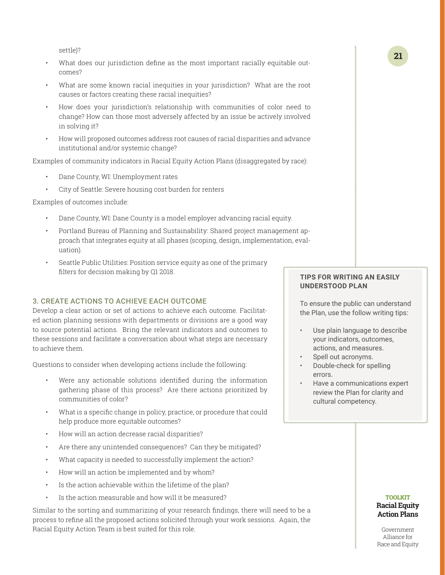settle)?

- What does our jurisdiction define as the most important racially equitable outcomes?
- What are some known racial inequities in your jurisdiction? What are the root causes or factors creating these racial inequities?
- How does your jurisdiction's relationship with communities of color need to change? How can those most adversely affected by an issue be actively involved in solving it?
- How will proposed outcomes address root causes of racial disparities and advance institutional and/or systemic change?

Examples of community indicators in Racial Equity Action Plans (disaggregated by race):

- Dane County, WI: Unemployment rates
- City of Seattle: Severe housing cost burden for renters

Examples of outcomes include:

- Dane County, WI: Dane County is a model employer advancing racial equity.
- Portland Bureau of Planning and Sustainability: Shared project management approach that integrates equity at all phases (scoping, design, implementation, evaluation).
- Seattle Public Utilities: Position service equity as one of the primary filters for decision making by Q1 2018.

#### 3. CREATE ACTIONS TO ACHIEVE EACH OUTCOME

Develop a clear action or set of actions to achieve each outcome. Facilitated action planning sessions with departments or divisions are a good way to source potential actions. Bring the relevant indicators and outcomes to these sessions and facilitate a conversation about what steps are necessary to achieve them.

Questions to consider when developing actions include the following:

- Were any actionable solutions identified during the information gathering phase of this process? Are there actions prioritized by communities of color?
- What is a specific change in policy, practice, or procedure that could help produce more equitable outcomes?
- How will an action decrease racial disparities?
- Are there any unintended consequences? Can they be mitigated?
- What capacity is needed to successfully implement the action?
- How will an action be implemented and by whom?
- Is the action achievable within the lifetime of the plan?
- Is the action measurable and how will it be measured?

Similar to the sorting and summarizing of your research findings, there will need to be a process to refine all the proposed actions solicited through your work sessions. Again, the Racial Equity Action Team is best suited for this role.

#### **TIPS FOR WRITING AN EASILY UNDERSTOOD PLAN**

To ensure the public can understand the Plan, use the follow writing tips:

- Use plain language to describe your indicators, outcomes, actions, and measures.
- Spell out acronyms.
- Double-check for spelling errors.
- Have a communications expert review the Plan for clarity and cultural competency.

#### **TOOLKIT Racial Equity Action Plans**

Government Alliance for Race and Equity

**21**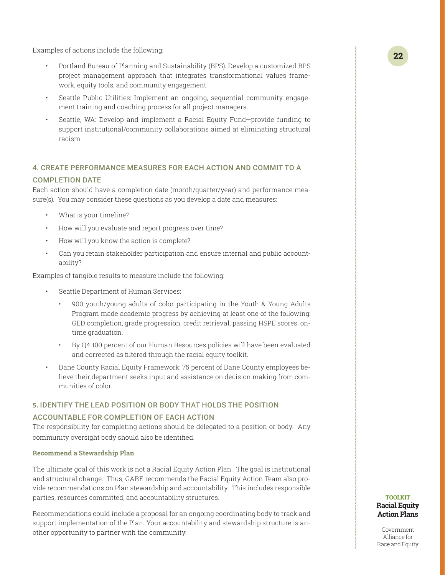Examples of actions include the following:

- Portland Bureau of Planning and Sustainability (BPS): Develop a customized BPS project management approach that integrates transformational values framework, equity tools, and community engagement.
- Seattle Public Utilities: Implement an ongoing, sequential community engagement training and coaching process for all project managers.
- Seattle, WA: Develop and implement a Racial Equity Fund—provide funding to support institutional/community collaborations aimed at eliminating structural racism.

#### 4. CREATE PERFORMANCE MEASURES FOR EACH ACTION AND COMMIT TO A

#### COMPLETION DATE

Each action should have a completion date (month/quarter/year) and performance measure(s). You may consider these questions as you develop a date and measures:

- What is your timeline?
- How will you evaluate and report progress over time?
- How will you know the action is complete?
- Can you retain stakeholder participation and ensure internal and public accountability?

Examples of tangible results to measure include the following:

- Seattle Department of Human Services:
	- 900 youth/young adults of color participating in the Youth & Young Adults Program made academic progress by achieving at least one of the following: GED completion, grade progression, credit retrieval, passing HSPE scores, ontime graduation.
	- By Q4 100 percent of our Human Resources policies will have been evaluated and corrected as filtered through the racial equity toolkit.
- Dane County Racial Equity Framework: 75 percent of Dane County employees believe their department seeks input and assistance on decision making from communities of color.

#### **5.** IDENTIFY THE LEAD POSITION OR BODY THAT HOLDS THE POSITION

#### ACCOUNTABLE FOR COMPLETION OF EACH ACTION

The responsibility for completing actions should be delegated to a position or body. Any community oversight body should also be identified.

#### **Recommend a Stewardship Plan**

The ultimate goal of this work is not a Racial Equity Action Plan. The goal is institutional and structural change. Thus, GARE recommends the Racial Equity Action Team also provide recommendations on Plan stewardship and accountability. This includes responsible parties, resources committed, and accountability structures.

Recommendations could include a proposal for an ongoing coordinating body to track and support implementation of the Plan. Your accountability and stewardship structure is another opportunity to partner with the community.

#### **TOOLKIT Racial Equity Action Plans**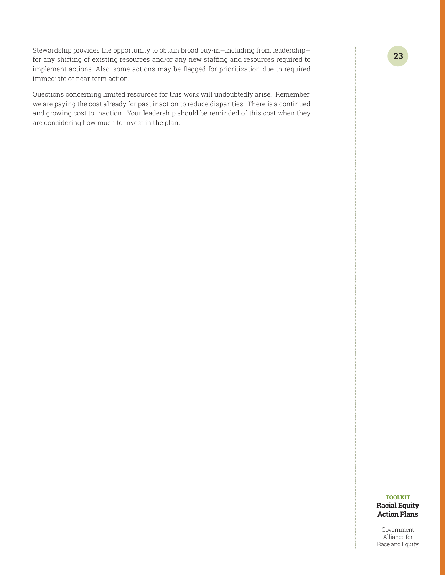Stewardship provides the opportunity to obtain broad buy-in—including from leadership for any shifting of existing resources and/or any new staffing and resources required to implement actions. Also, some actions may be flagged for prioritization due to required immediate or near-term action.

Questions concerning limited resources for this work will undoubtedly arise. Remember, we are paying the cost already for past inaction to reduce disparities. There is a continued and growing cost to inaction. Your leadership should be reminded of this cost when they are considering how much to invest in the plan.

#### **TOOLKIT Racial Equity Action Plans**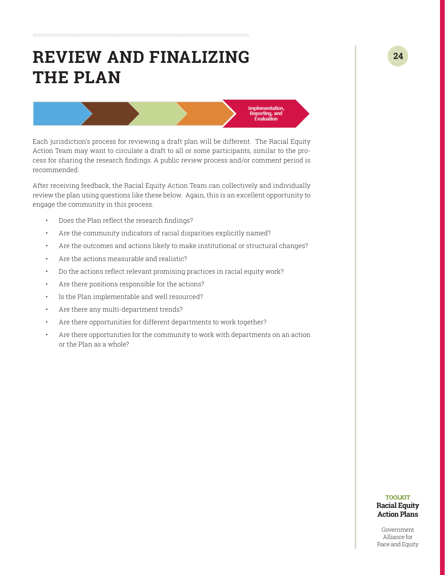# <span id="page-23-0"></span>**REVIEW AND FINALIZING THE PLAN**

Each jurisdiction's process for reviewing a draft plan will be different. The Racial Equity Action Team may want to circulate a draft to all or some participants, similar to the process for sharing the research findings. A public review process and/or comment period is recommended.

**Implementation** Reporting, and<br>Evaluation

After receiving feedback, the Racial Equity Action Team can collectively and individually review the plan using questions like these below. Again, this is an excellent opportunity to engage the community in this process.

- Does the Plan reflect the research findings?
- Are the community indicators of racial disparities explicitly named?
- Are the outcomes and actions likely to make institutional or structural changes?
- Are the actions measurable and realistic?
- Do the actions reflect relevant promising practices in racial equity work?
- Are there positions responsible for the actions?
- Is the Plan implementable and well resourced?
- Are there any multi-department trends?
- Are there opportunities for different departments to work together?
- Are there opportunities for the community to work with departments on an action or the Plan as a whole?

#### **TOOLKIT Racial Equity Action Plans**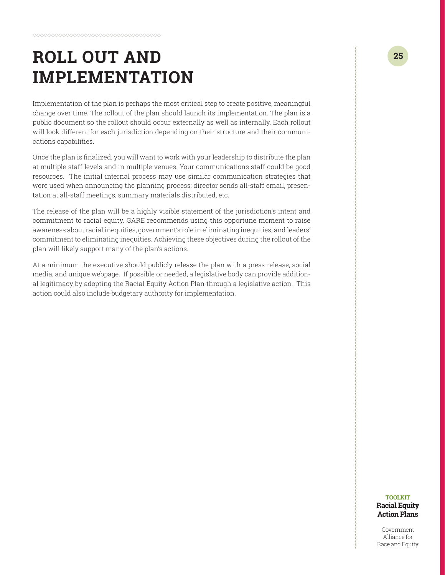# <span id="page-24-0"></span>**ROLL OUT AND IMPLEMENTATION**

Implementation of the plan is perhaps the most critical step to create positive, meaningful change over time. The rollout of the plan should launch its implementation. The plan is a public document so the rollout should occur externally as well as internally. Each rollout will look different for each jurisdiction depending on their structure and their communications capabilities.

Once the plan is finalized, you will want to work with your leadership to distribute the plan at multiple staff levels and in multiple venues. Your communications staff could be good resources. The initial internal process may use similar communication strategies that were used when announcing the planning process; director sends all-staff email, presentation at all-staff meetings, summary materials distributed, etc.

The release of the plan will be a highly visible statement of the jurisdiction's intent and commitment to racial equity. GARE recommends using this opportune moment to raise awareness about racial inequities, government's role in eliminating inequities, and leaders' commitment to eliminating inequities. Achieving these objectives during the rollout of the plan will likely support many of the plan's actions.

At a minimum the executive should publicly release the plan with a press release, social media, and unique webpage. If possible or needed, a legislative body can provide additional legitimacy by adopting the Racial Equity Action Plan through a legislative action. This action could also include budgetary authority for implementation.

#### **TOOLKIT Racial Equity Action Plans**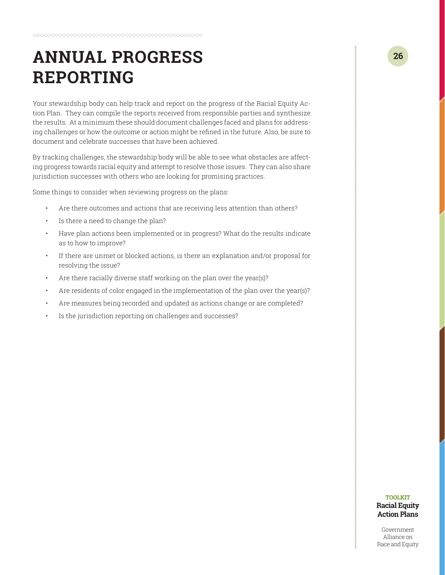# <span id="page-25-0"></span>**ANNUAL PROGRESS REPORTING**

Your stewardship body can help track and report on the progress of the Racial Equity Action Plan. They can compile the reports received from responsible parties and synthesize the results. At a minimum these should document challenges faced and plans for addressing challenges or how the outcome or action might be refined in the future. Also, be sure to document and celebrate successes that have been achieved.

By tracking challenges, the stewardship body will be able to see what obstacles are affecting progress towards racial equity and attempt to resolve those issues. They can also share jurisdiction successes with others who are looking for promising practices.

Some things to consider when reviewing progress on the plans:

- Are there outcomes and actions that are receiving less attention than others?
- Is there a need to change the plan?
- Have plan actions been implemented or in progress? What do the results indicate as to how to improve?
- If there are unmet or blocked actions, is there an explanation and/or proposal for resolving the issue?
- Are there racially diverse staff working on the plan over the year(s)?
- Are residents of color engaged in the implementation of the plan over the year(s)?
- Are measures being recorded and updated as actions change or are completed?
- Is the jurisdiction reporting on challenges and successes?

#### **TOOLKIT Racial Equity Action Plans**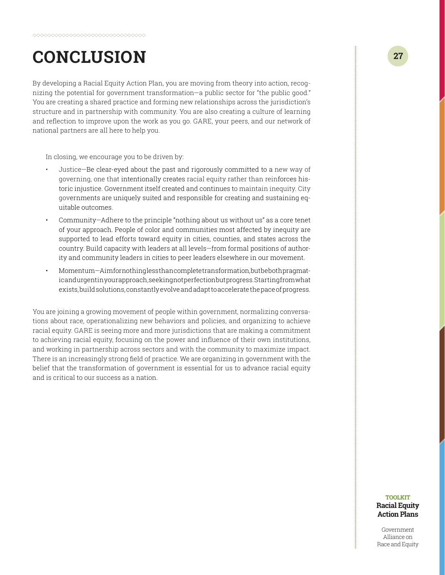# <span id="page-26-0"></span>**CONCLUSION**

By developing a Racial Equity Action Plan, you are moving from theory into action, recognizing the potential for government transformation—a public sector for "the public good." You are creating a shared practice and forming new relationships across the jurisdiction's structure and in partnership with community. You are also creating a culture of learning and reflection to improve upon the work as you go. GARE, your peers, and our network of national partners are all here to help you.

In closing, we encourage you to be driven by:

- Justice—Be clear-eyed about the past and rigorously committed to a new way of governing, one that intentionally creates racial equity rather than reinforces historic injustice. Government itself created and continues to maintain inequity. City governments are uniquely suited and responsible for creating and sustaining equitable outcomes.
- Community—Adhere to the principle "nothing about us without us" as a core tenet of your approach. People of color and communities most affected by inequity are supported to lead efforts toward equity in cities, counties, and states across the country. Build capacity with leaders at all levels—from formal positions of authority and community leaders in cities to peer leaders elsewhere in our movement.
- Momentum—Aim for nothing less than complete transformation, but be both pragmatic and urgent in your approach, seeking not perfection but progress. Starting from what exists, build solutions, constantly evolve and adapt to accelerate the pace of progress.

You are joining a growing movement of people within government, normalizing conversations about race, operationalizing new behaviors and policies, and organizing to achieve racial equity. GARE is seeing more and more jurisdictions that are making a commitment to achieving racial equity, focusing on the power and influence of their own institutions, and working in partnership across sectors and with the community to maximize impact. There is an increasingly strong field of practice. We are organizing in government with the belief that the transformation of government is essential for us to advance racial equity and is critical to our success as a nation.

#### **TOOLKIT Racial Equity Action Plans**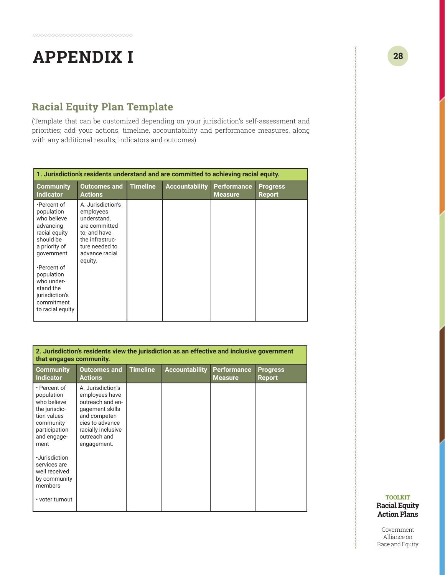# <span id="page-27-0"></span>**APPENDIX I**

### **Racial Equity Plan Template**

(Template that can be customized depending on your jurisdiction's self-assessment and priorities; add your actions, timeline, accountability and performance measures, along with any additional results, indicators and outcomes)

| 1. Jurisdiction's residents understand and are committed to achieving racial equity.                                                                                                                                           |                                                                                                                                                  |                 |                       |                               |                                  |
|--------------------------------------------------------------------------------------------------------------------------------------------------------------------------------------------------------------------------------|--------------------------------------------------------------------------------------------------------------------------------------------------|-----------------|-----------------------|-------------------------------|----------------------------------|
| <b>Community</b><br><b>Indicator</b>                                                                                                                                                                                           | <b>Outcomes and</b><br><b>Actions</b>                                                                                                            | <b>Timeline</b> | <b>Accountability</b> | Performance<br><b>Measure</b> | <b>Progress</b><br><b>Report</b> |
| •Percent of<br>population<br>who believe<br>advancing<br>racial equity<br>should be<br>a priority of<br>government<br>•Percent of<br>population<br>who under-<br>stand the<br>jurisdiction's<br>commitment<br>to racial equity | A. Jurisdiction's<br>employees<br>understand,<br>are committed<br>to, and have<br>the infrastruc-<br>ture needed to<br>advance racial<br>equity. |                 |                       |                               |                                  |

| 2. Jurisdiction's residents view the jurisdiction as an effective and inclusive government<br>that engages community.          |                                                                                                                                                                     |                 |                       |                                      |                                  |
|--------------------------------------------------------------------------------------------------------------------------------|---------------------------------------------------------------------------------------------------------------------------------------------------------------------|-----------------|-----------------------|--------------------------------------|----------------------------------|
| <b>Community</b><br>Indicator                                                                                                  | <b>Outcomes and</b><br><b>Actions</b>                                                                                                                               | <b>Timeline</b> | <b>Accountability</b> | <b>Performance</b><br><b>Measure</b> | <b>Progress</b><br><b>Report</b> |
| • Percent of<br>population<br>who believe<br>the jurisdic-<br>tion values<br>community<br>participation<br>and engage-<br>ment | A. Jurisdiction's<br>employees have<br>outreach and en-<br>gagement skills<br>and competen-<br>cies to advance<br>racially inclusive<br>outreach and<br>engagement. |                 |                       |                                      |                                  |
| ·Jurisdiction<br>services are<br>well received<br>by community<br>members<br>• voter turnout                                   |                                                                                                                                                                     |                 |                       |                                      |                                  |

**28**

#### **TOOLKIT Racial Equity Action Plans**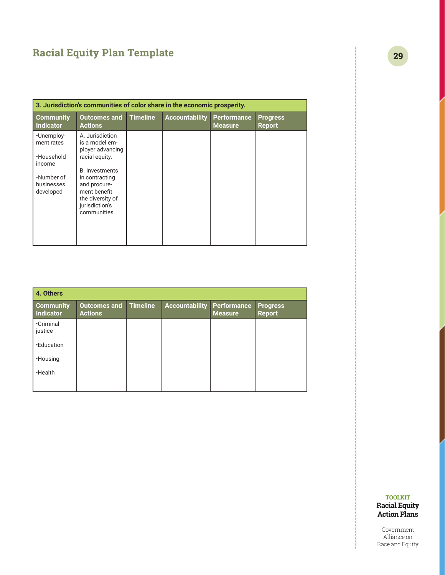### **Racial Equity Plan Template**

| 3. Jurisdiction's communities of color share in the economic prosperity. |                                                                                                      |                 |                       |                                      |                                  |
|--------------------------------------------------------------------------|------------------------------------------------------------------------------------------------------|-----------------|-----------------------|--------------------------------------|----------------------------------|
| <b>Community</b><br>Indicator                                            | <b>Outcomes and</b><br><b>Actions</b>                                                                | <b>Timeline</b> | <b>Accountability</b> | <b>Performance</b><br><b>Measure</b> | <b>Progress</b><br><b>Report</b> |
| •Unemploy-<br>ment rates                                                 | A. Jurisdiction<br>is a model em-<br>ployer advancing                                                |                 |                       |                                      |                                  |
| ·Household<br>income                                                     | racial equity.<br><b>B.</b> Investments                                                              |                 |                       |                                      |                                  |
| .Number of<br>businesses<br>developed                                    | in contracting<br>and procure-<br>ment benefit<br>the diversity of<br>jurisdiction's<br>communities. |                 |                       |                                      |                                  |
|                                                                          |                                                                                                      |                 |                       |                                      |                                  |

| 4. Others                            |                                       |                 |                       |                               |                                  |
|--------------------------------------|---------------------------------------|-----------------|-----------------------|-------------------------------|----------------------------------|
| <b>Community</b><br><b>Indicator</b> | <b>Outcomes and</b><br><b>Actions</b> | <b>Timeline</b> | <b>Accountability</b> | <b>Performance</b><br>Measure | <b>Progress</b><br><b>Report</b> |
| <b>•Criminal</b><br>justice          |                                       |                 |                       |                               |                                  |
| <b>.Education</b>                    |                                       |                 |                       |                               |                                  |
| ·Housing                             |                                       |                 |                       |                               |                                  |
| ·Health                              |                                       |                 |                       |                               |                                  |
|                                      |                                       |                 |                       |                               |                                  |

#### **TOOLKIT Racial Equity Action Plans**